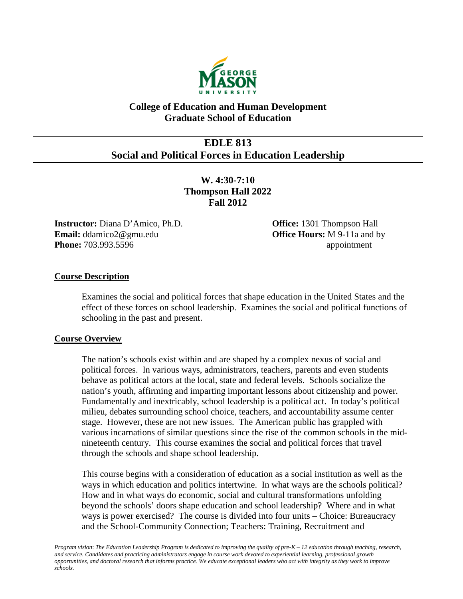

# **College of Education and Human Development Graduate School of Education**

# **EDLE 813 Social and Political Forces in Education Leadership**

**W. 4:30-7:10 Thompson Hall 2022 Fall 2012**

**Instructor:** Diana D'Amico, Ph.D. **Office:** 1301 Thompson Hall **Email:** ddamico2@gmu.edu **Office Hours:** M 9-11a and by **Phone:** 703.993.5596 **appointment** 

## **Course Description**

Examines the social and political forces that shape education in the United States and the effect of these forces on school leadership. Examines the social and political functions of schooling in the past and present.

### **Course Overview**

The nation's schools exist within and are shaped by a complex nexus of social and political forces. In various ways, administrators, teachers, parents and even students behave as political actors at the local, state and federal levels. Schools socialize the nation's youth, affirming and imparting important lessons about citizenship and power. Fundamentally and inextricably, school leadership is a political act. In today's political milieu, debates surrounding school choice, teachers, and accountability assume center stage. However, these are not new issues. The American public has grappled with various incarnations of similar questions since the rise of the common schools in the midnineteenth century. This course examines the social and political forces that travel through the schools and shape school leadership.

This course begins with a consideration of education as a social institution as well as the ways in which education and politics intertwine. In what ways are the schools political? How and in what ways do economic, social and cultural transformations unfolding beyond the schools' doors shape education and school leadership? Where and in what ways is power exercised? The course is divided into four units – Choice: Bureaucracy and the School-Community Connection; Teachers: Training, Recruitment and

*Program vision*: *The Education Leadership Program is dedicated to improving the quality of pre-K – 12 education through teaching, research, and service. Candidates and practicing administrators engage in course work devoted to experiential learning, professional growth opportunities, and doctoral research that informs practice. We educate exceptional leaders who act with integrity as they work to improve schools.*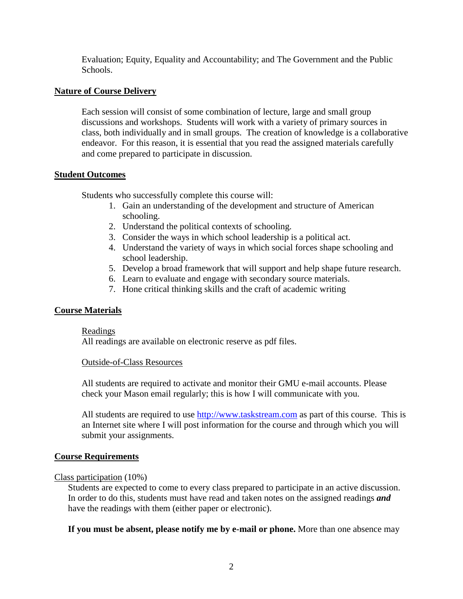Evaluation; Equity, Equality and Accountability; and The Government and the Public Schools.

## **Nature of Course Delivery**

Each session will consist of some combination of lecture, large and small group discussions and workshops. Students will work with a variety of primary sources in class, both individually and in small groups. The creation of knowledge is a collaborative endeavor. For this reason, it is essential that you read the assigned materials carefully and come prepared to participate in discussion.

### **Student Outcomes**

Students who successfully complete this course will:

- 1. Gain an understanding of the development and structure of American schooling.
- 2. Understand the political contexts of schooling.
- 3. Consider the ways in which school leadership is a political act.
- 4. Understand the variety of ways in which social forces shape schooling and school leadership.
- 5. Develop a broad framework that will support and help shape future research.
- 6. Learn to evaluate and engage with secondary source materials.
- 7. Hone critical thinking skills and the craft of academic writing

### **Course Materials**

### Readings

All readings are available on electronic reserve as pdf files.

### Outside-of-Class Resources

All students are required to activate and monitor their GMU e-mail accounts. Please check your Mason email regularly; this is how I will communicate with you.

All students are required to use [http://www.taskstream.com](http://www.taskstream.com/) as part of this course. This is an Internet site where I will post information for the course and through which you will submit your assignments.

### **Course Requirements**

## Class participation (10%)

Students are expected to come to every class prepared to participate in an active discussion. In order to do this, students must have read and taken notes on the assigned readings *and* have the readings with them (either paper or electronic).

### **If you must be absent, please notify me by e-mail or phone.** More than one absence may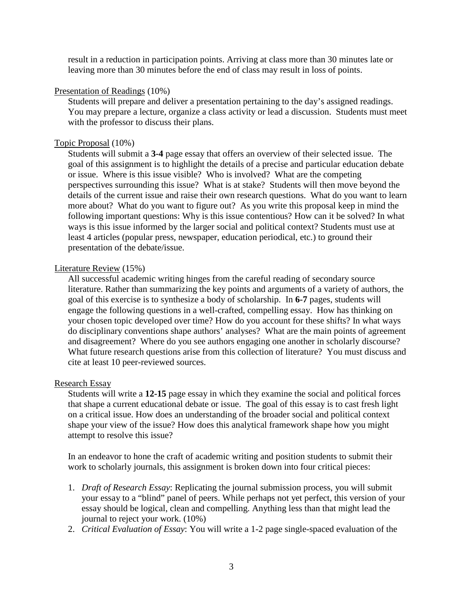result in a reduction in participation points. Arriving at class more than 30 minutes late or leaving more than 30 minutes before the end of class may result in loss of points.

#### Presentation of Readings (10%)

Students will prepare and deliver a presentation pertaining to the day's assigned readings. You may prepare a lecture, organize a class activity or lead a discussion. Students must meet with the professor to discuss their plans.

#### Topic Proposal (10%)

Students will submit a **3-4** page essay that offers an overview of their selected issue. The goal of this assignment is to highlight the details of a precise and particular education debate or issue. Where is this issue visible? Who is involved? What are the competing perspectives surrounding this issue? What is at stake? Students will then move beyond the details of the current issue and raise their own research questions. What do you want to learn more about? What do you want to figure out? As you write this proposal keep in mind the following important questions: Why is this issue contentious? How can it be solved? In what ways is this issue informed by the larger social and political context? Students must use at least 4 articles (popular press, newspaper, education periodical, etc.) to ground their presentation of the debate/issue.

#### Literature Review (15%)

All successful academic writing hinges from the careful reading of secondary source literature. Rather than summarizing the key points and arguments of a variety of authors, the goal of this exercise is to synthesize a body of scholarship. In **6-7** pages, students will engage the following questions in a well-crafted, compelling essay. How has thinking on your chosen topic developed over time? How do you account for these shifts? In what ways do disciplinary conventions shape authors' analyses? What are the main points of agreement and disagreement? Where do you see authors engaging one another in scholarly discourse? What future research questions arise from this collection of literature? You must discuss and cite at least 10 peer-reviewed sources.

#### Research Essay

Students will write a **12-15** page essay in which they examine the social and political forces that shape a current educational debate or issue. The goal of this essay is to cast fresh light on a critical issue. How does an understanding of the broader social and political context shape your view of the issue? How does this analytical framework shape how you might attempt to resolve this issue?

In an endeavor to hone the craft of academic writing and position students to submit their work to scholarly journals, this assignment is broken down into four critical pieces:

- 1. *Draft of Research Essay*: Replicating the journal submission process, you will submit your essay to a "blind" panel of peers. While perhaps not yet perfect, this version of your essay should be logical, clean and compelling. Anything less than that might lead the journal to reject your work. (10%)
- 2. *Critical Evaluation of Essay*: You will write a 1-2 page single-spaced evaluation of the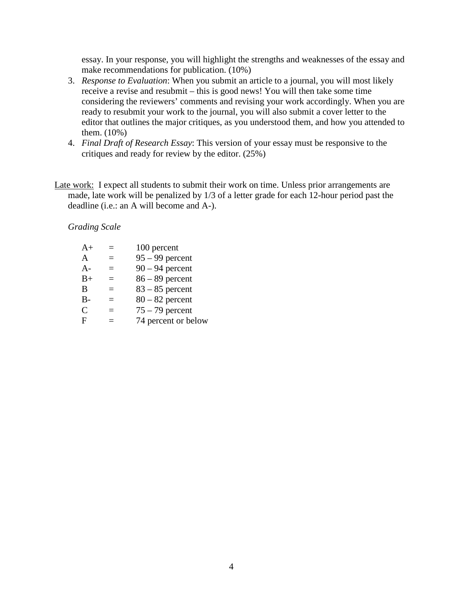essay. In your response, you will highlight the strengths and weaknesses of the essay and make recommendations for publication. (10%)

- 3. *Response to Evaluation*: When you submit an article to a journal, you will most likely receive a revise and resubmit – this is good news! You will then take some time considering the reviewers' comments and revising your work accordingly. When you are ready to resubmit your work to the journal, you will also submit a cover letter to the editor that outlines the major critiques, as you understood them, and how you attended to them. (10%)
- 4. *Final Draft of Research Essay*: This version of your essay must be responsive to the critiques and ready for review by the editor. (25%)
- Late work: I expect all students to submit their work on time. Unless prior arrangements are made, late work will be penalized by 1/3 of a letter grade for each 12-hour period past the deadline (i.e.: an A will become and A-).

*Grading Scale*

| $A+$          |          | 100 percent         |
|---------------|----------|---------------------|
| A             | $\equiv$ | $95 - 99$ percent   |
| $A -$         | =        | $90 - 94$ percent   |
| $B+$          | $=$      | $86 - 89$ percent   |
| B             |          | $83 - 85$ percent   |
| $B -$         | =        | $80 - 82$ percent   |
| $\mathcal{C}$ | =        | $75 - 79$ percent   |
| F             |          | 74 percent or below |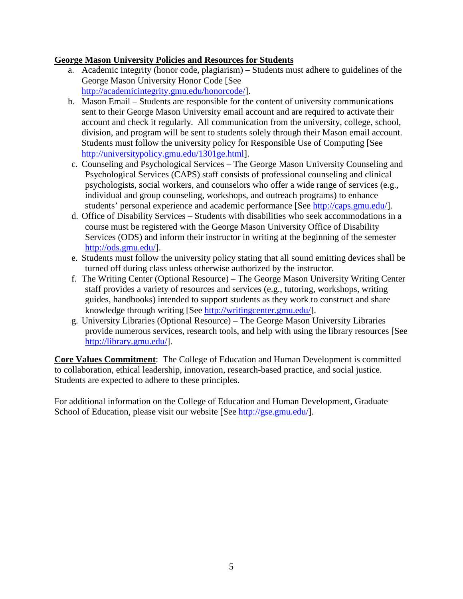## **George Mason University Policies and Resources for Students**

- a. Academic integrity (honor code, plagiarism) Students must adhere to guidelines of the George Mason University Honor Code [See [http://academicintegrity.gmu.edu/honorcode/\]](http://academicintegrity.gmu.edu/honorcode/).
- b. Mason Email Students are responsible for the content of university communications sent to their George Mason University email account and are required to activate their account and check it regularly. All communication from the university, college, school, division, and program will be sent to students solely through their Mason email account. Students must follow the university policy for Responsible Use of Computing [See [http://universitypolicy.gmu.edu/1301ge.html\]](http://universitypolicy.gmu.edu/1301ge.html).
- c. Counseling and Psychological Services The George Mason University Counseling and Psychological Services (CAPS) staff consists of professional counseling and clinical psychologists, social workers, and counselors who offer a wide range of services (e.g., individual and group counseling, workshops, and outreach programs) to enhance students' personal experience and academic performance [See [http://caps.gmu.edu/\]](http://caps.gmu.edu/).
- d. Office of Disability Services Students with disabilities who seek accommodations in a course must be registered with the George Mason University Office of Disability Services (ODS) and inform their instructor in writing at the beginning of the semester [http://ods.gmu.edu/\]](http://ods.gmu.edu/).
- e. Students must follow the university policy stating that all sound emitting devices shall be turned off during class unless otherwise authorized by the instructor.
- f. The Writing Center (Optional Resource) The George Mason University Writing Center staff provides a variety of resources and services (e.g., tutoring, workshops, writing guides, handbooks) intended to support students as they work to construct and share knowledge through writing [See [http://writingcenter.gmu.edu/\]](http://writingcenter.gmu.edu/).
- g. University Libraries (Optional Resource) The George Mason University Libraries provide numerous services, research tools, and help with using the library resources [See [http://library.gmu.edu/\]](http://library.gmu.edu/).

**Core Values Commitment**: The College of Education and Human Development is committed to collaboration, ethical leadership, innovation, research-based practice, and social justice. Students are expected to adhere to these principles.

For additional information on the College of Education and Human Development, Graduate School of Education, please visit our website [See [http://gse.gmu.edu/\]](http://gse.gmu.edu/).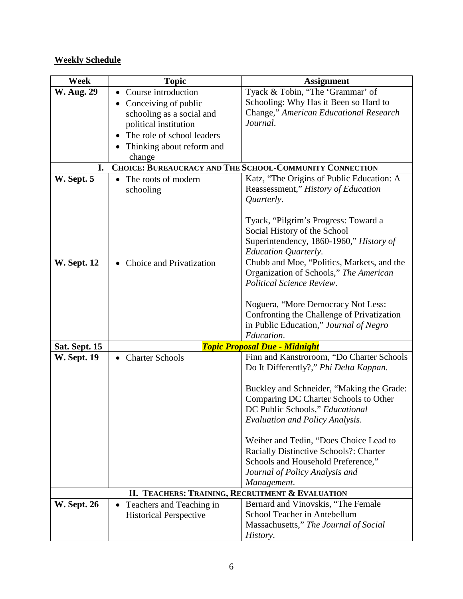# **Weekly Schedule**

| Week               | <b>Topic</b>                                     | <b>Assignment</b>                                                                       |
|--------------------|--------------------------------------------------|-----------------------------------------------------------------------------------------|
| <b>W. Aug. 29</b>  | Course introduction                              | Tyack & Tobin, "The 'Grammar' of                                                        |
|                    | Conceiving of public                             | Schooling: Why Has it Been so Hard to                                                   |
|                    | schooling as a social and                        | Change," American Educational Research                                                  |
|                    | political institution                            | Journal.                                                                                |
|                    | The role of school leaders                       |                                                                                         |
|                    | Thinking about reform and                        |                                                                                         |
|                    | change                                           |                                                                                         |
| I.                 |                                                  | CHOICE: BUREAUCRACY AND THE SCHOOL-COMMUNITY CONNECTION                                 |
| W. Sept. 5         | The roots of modern                              | Katz, "The Origins of Public Education: A                                               |
|                    | schooling                                        | Reassessment," History of Education                                                     |
|                    |                                                  | Quarterly.                                                                              |
|                    |                                                  | Tyack, "Pilgrim's Progress: Toward a                                                    |
|                    |                                                  | Social History of the School                                                            |
|                    |                                                  | Superintendency, 1860-1960," History of                                                 |
|                    |                                                  | <b>Education Quarterly.</b>                                                             |
| <b>W. Sept. 12</b> | Choice and Privatization                         | Chubb and Moe, "Politics, Markets, and the                                              |
|                    |                                                  | Organization of Schools," The American                                                  |
|                    |                                                  | Political Science Review.                                                               |
|                    |                                                  |                                                                                         |
|                    |                                                  | Noguera, "More Democracy Not Less:                                                      |
|                    |                                                  | Confronting the Challenge of Privatization                                              |
|                    |                                                  | in Public Education," Journal of Negro                                                  |
|                    |                                                  | Education.                                                                              |
| Sat. Sept. 15      |                                                  | <b>Topic Proposal Due - Midnight</b><br>Finn and Kanstroroom, "Do Charter Schools       |
| <b>W. Sept. 19</b> | <b>Charter Schools</b>                           | Do It Differently?," Phi Delta Kappan.                                                  |
|                    |                                                  |                                                                                         |
|                    |                                                  | Buckley and Schneider, "Making the Grade:                                               |
|                    |                                                  | Comparing DC Charter Schools to Other                                                   |
|                    |                                                  | DC Public Schools," Educational                                                         |
|                    |                                                  | <b>Evaluation and Policy Analysis.</b>                                                  |
|                    |                                                  |                                                                                         |
|                    |                                                  | Weiher and Tedin, "Does Choice Lead to<br><b>Racially Distinctive Schools?: Charter</b> |
|                    |                                                  | Schools and Household Preference,"                                                      |
|                    |                                                  | Journal of Policy Analysis and                                                          |
|                    |                                                  | Management.                                                                             |
|                    | II. TEACHERS: TRAINING, RECRUITMENT & EVALUATION |                                                                                         |
| <b>W. Sept. 26</b> | Teachers and Teaching in<br>$\bullet$            | Bernard and Vinovskis, "The Female                                                      |
|                    | <b>Historical Perspective</b>                    | School Teacher in Antebellum                                                            |
|                    |                                                  | Massachusetts," The Journal of Social                                                   |
|                    |                                                  | History.                                                                                |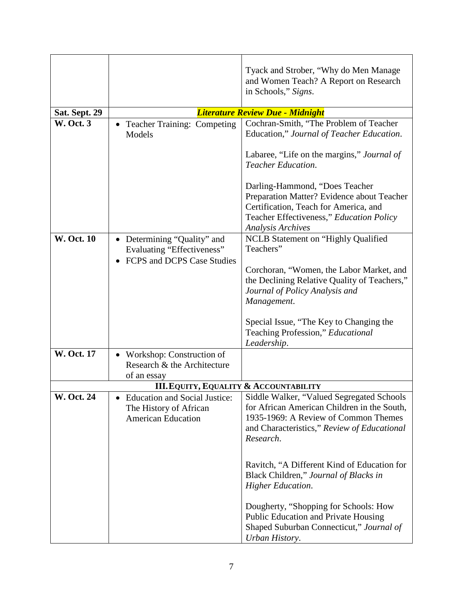|                   |                                                                                                | Tyack and Strober, "Why do Men Manage"<br>and Women Teach? A Report on Research<br>in Schools," Signs.                                                                                        |
|-------------------|------------------------------------------------------------------------------------------------|-----------------------------------------------------------------------------------------------------------------------------------------------------------------------------------------------|
| Sat. Sept. 29     |                                                                                                | Literature Review Due - Midnight                                                                                                                                                              |
| <b>W. Oct. 3</b>  | <b>Teacher Training: Competing</b><br>Models                                                   | Cochran-Smith, "The Problem of Teacher<br>Education," Journal of Teacher Education.<br>Labaree, "Life on the margins," Journal of                                                             |
|                   |                                                                                                | <b>Teacher Education.</b>                                                                                                                                                                     |
|                   |                                                                                                | Darling-Hammond, "Does Teacher<br>Preparation Matter? Evidence about Teacher<br>Certification, Teach for America, and<br>Teacher Effectiveness," Education Policy<br><b>Analysis Archives</b> |
| <b>W. Oct. 10</b> | • Determining "Quality" and<br>Evaluating "Effectiveness"<br><b>FCPS</b> and DCPS Case Studies | NCLB Statement on "Highly Qualified<br>Teachers"                                                                                                                                              |
|                   |                                                                                                | Corchoran, "Women, the Labor Market, and<br>the Declining Relative Quality of Teachers,"<br>Journal of Policy Analysis and<br>Management.                                                     |
|                   |                                                                                                | Special Issue, "The Key to Changing the<br>Teaching Profession," Educational<br>Leadership.                                                                                                   |
| <b>W. Oct. 17</b> | Workshop: Construction of<br>Research & the Architecture<br>of an essay                        |                                                                                                                                                                                               |
|                   | <b>III. EQUITY, EQUALITY &amp; ACCOUNTABILITY</b>                                              |                                                                                                                                                                                               |
| <b>W. Oct. 24</b> | <b>Education and Social Justice:</b><br>The History of African<br><b>American Education</b>    | Siddle Walker, "Valued Segregated Schools<br>for African American Children in the South,<br>1935-1969: A Review of Common Themes<br>and Characteristics," Review of Educational<br>Research.  |
|                   |                                                                                                | Ravitch, "A Different Kind of Education for<br>Black Children," Journal of Blacks in<br><b>Higher Education.</b>                                                                              |
|                   |                                                                                                | Dougherty, "Shopping for Schools: How<br>Public Education and Private Housing<br>Shaped Suburban Connecticut," Journal of<br>Urban History.                                                   |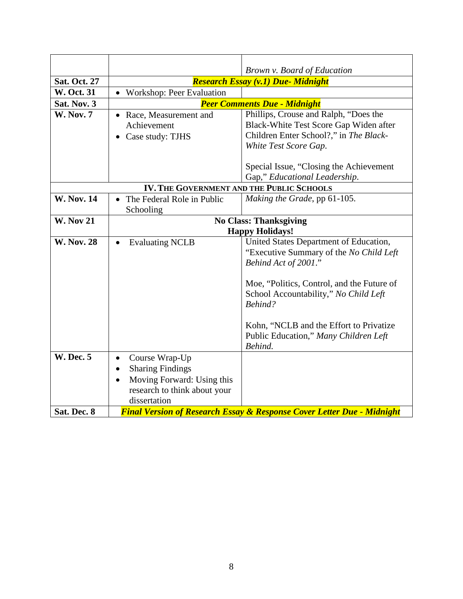|                     |                                                                                                                                                   | Brown v. Board of Education                                                                                                                                                                      |
|---------------------|---------------------------------------------------------------------------------------------------------------------------------------------------|--------------------------------------------------------------------------------------------------------------------------------------------------------------------------------------------------|
| <b>Sat. Oct. 27</b> |                                                                                                                                                   | <b>Research Essay (v.1) Due- Midnight</b>                                                                                                                                                        |
| <b>W. Oct. 31</b>   | Workshop: Peer Evaluation                                                                                                                         |                                                                                                                                                                                                  |
| Sat. Nov. 3         |                                                                                                                                                   | <b>Peer Comments Due - Midnight</b>                                                                                                                                                              |
| <b>W. Nov. 7</b>    | Race, Measurement and<br>$\bullet$<br>Achievement<br>Case study: TJHS                                                                             | Phillips, Crouse and Ralph, "Does the<br>Black-White Test Score Gap Widen after<br>Children Enter School?," in The Black-<br>White Test Score Gap.                                               |
|                     |                                                                                                                                                   | Special Issue, "Closing the Achievement"<br>Gap," Educational Leadership.                                                                                                                        |
|                     | IV. THE GOVERNMENT AND THE PUBLIC SCHOOLS                                                                                                         |                                                                                                                                                                                                  |
| <b>W. Nov. 14</b>   | The Federal Role in Public<br>Schooling                                                                                                           | Making the Grade, pp 61-105.                                                                                                                                                                     |
| <b>W. Nov 21</b>    |                                                                                                                                                   | <b>No Class: Thanksgiving</b>                                                                                                                                                                    |
|                     |                                                                                                                                                   | <b>Happy Holidays!</b>                                                                                                                                                                           |
| <b>W. Nov. 28</b>   | <b>Evaluating NCLB</b><br>$\bullet$                                                                                                               | United States Department of Education,<br>"Executive Summary of the No Child Left<br>Behind Act of 2001."<br>Moe, "Politics, Control, and the Future of<br>School Accountability," No Child Left |
|                     |                                                                                                                                                   | Behind?                                                                                                                                                                                          |
|                     |                                                                                                                                                   | Kohn, "NCLB and the Effort to Privatize<br>Public Education," Many Children Left<br>Behind.                                                                                                      |
| <b>W. Dec. 5</b>    | Course Wrap-Up<br>$\bullet$<br><b>Sharing Findings</b><br>$\bullet$<br>Moving Forward: Using this<br>research to think about your<br>dissertation |                                                                                                                                                                                                  |
| Sat. Dec. 8         |                                                                                                                                                   | <b>Final Version of Research Essay &amp; Response Cover Letter Due - Midnight</b>                                                                                                                |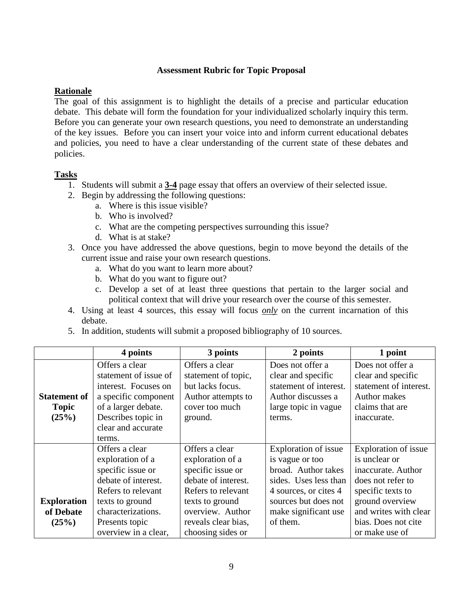## **Assessment Rubric for Topic Proposal**

## **Rationale**

The goal of this assignment is to highlight the details of a precise and particular education debate. This debate will form the foundation for your individualized scholarly inquiry this term. Before you can generate your own research questions, you need to demonstrate an understanding of the key issues. Before you can insert your voice into and inform current educational debates and policies, you need to have a clear understanding of the current state of these debates and policies.

## **Tasks**

- 1. Students will submit a **3-4** page essay that offers an overview of their selected issue.
- 2. Begin by addressing the following questions:
	- a. Where is this issue visible?
	- b. Who is involved?
	- c. What are the competing perspectives surrounding this issue?
	- d. What is at stake?
- 3. Once you have addressed the above questions, begin to move beyond the details of the current issue and raise your own research questions.
	- a. What do you want to learn more about?
	- b. What do you want to figure out?
	- c. Develop a set of at least three questions that pertain to the larger social and political context that will drive your research over the course of this semester.
- 4. Using at least 4 sources, this essay will focus *only* on the current incarnation of this debate.
- 5. In addition, students will submit a proposed bibliography of 10 sources.

|                     | 4 points              | 3 points            | 2 points               | 1 point                |
|---------------------|-----------------------|---------------------|------------------------|------------------------|
|                     | Offers a clear        | Offers a clear      | Does not offer a       | Does not offer a       |
|                     | statement of issue of | statement of topic, | clear and specific     | clear and specific     |
|                     | interest. Focuses on  | but lacks focus.    | statement of interest. | statement of interest. |
| <b>Statement of</b> | a specific component  | Author attempts to  | Author discusses a     | <b>Author makes</b>    |
| <b>Topic</b>        | of a larger debate.   | cover too much      | large topic in vague   | claims that are        |
| (25%)               | Describes topic in    | ground.             | terms.                 | inaccurate.            |
|                     | clear and accurate    |                     |                        |                        |
|                     | terms.                |                     |                        |                        |
|                     | Offers a clear        | Offers a clear      | Exploration of issue   | Exploration of issue   |
|                     | exploration of a      | exploration of a    | is vague or too        | is unclear or          |
|                     | specific issue or     | specific issue or   | broad. Author takes    | inaccurate. Author     |
|                     | debate of interest.   | debate of interest. | sides. Uses less than  | does not refer to      |
|                     | Refers to relevant    | Refers to relevant  | 4 sources, or cites 4  | specific texts to      |
| <b>Exploration</b>  | texts to ground       | texts to ground     | sources but does not   | ground overview        |
| of Debate           | characterizations.    | overview. Author    | make significant use   | and writes with clear  |
| (25%)               | Presents topic        | reveals clear bias, | of them.               | bias. Does not cite    |
|                     | overview in a clear,  | choosing sides or   |                        | or make use of         |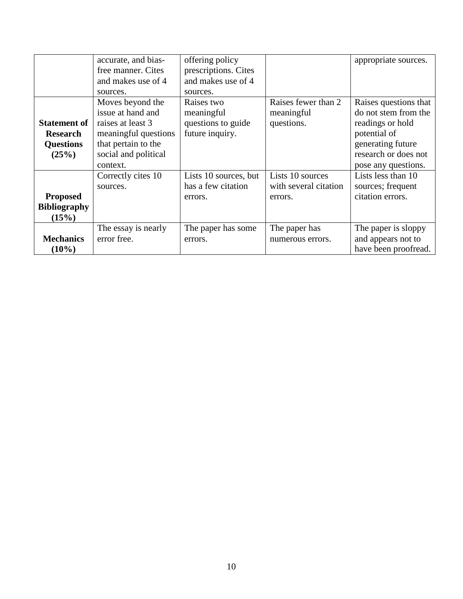|                                                                     | accurate, and bias-<br>free manner. Cites<br>and makes use of 4<br>sources.                                                                   | offering policy<br>prescriptions. Cites<br>and makes use of 4<br>sources. |                                                      | appropriate sources.                                                                                                                                  |
|---------------------------------------------------------------------|-----------------------------------------------------------------------------------------------------------------------------------------------|---------------------------------------------------------------------------|------------------------------------------------------|-------------------------------------------------------------------------------------------------------------------------------------------------------|
| <b>Statement of</b><br><b>Research</b><br><b>Questions</b><br>(25%) | Moves beyond the<br>issue at hand and<br>raises at least 3<br>meaningful questions<br>that pertain to the<br>social and political<br>context. | Raises two<br>meaningful<br>questions to guide<br>future inquiry.         | Raises fewer than 2<br>meaningful<br>questions.      | Raises questions that<br>do not stem from the<br>readings or hold<br>potential of<br>generating future<br>research or does not<br>pose any questions. |
| <b>Proposed</b><br><b>Bibliography</b><br>(15%)                     | Correctly cites 10<br>sources.                                                                                                                | Lists 10 sources, but<br>has a few citation<br>errors.                    | Lists 10 sources<br>with several citation<br>errors. | Lists less than 10<br>sources; frequent<br>citation errors.                                                                                           |
| <b>Mechanics</b><br>$(10\%)$                                        | The essay is nearly<br>error free.                                                                                                            | The paper has some<br>errors.                                             | The paper has<br>numerous errors.                    | The paper is sloppy<br>and appears not to<br>have been proofread.                                                                                     |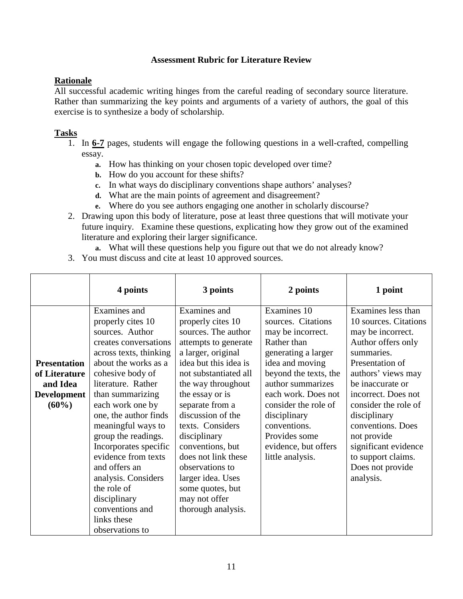## **Assessment Rubric for Literature Review**

## **Rationale**

All successful academic writing hinges from the careful reading of secondary source literature. Rather than summarizing the key points and arguments of a variety of authors, the goal of this exercise is to synthesize a body of scholarship.

## **Tasks**

- 1. In **6-7** pages, students will engage the following questions in a well-crafted, compelling essay.
	- **a.** How has thinking on your chosen topic developed over time?
	- **b.** How do you account for these shifts?
	- **c.** In what ways do disciplinary conventions shape authors' analyses?
	- **d.** What are the main points of agreement and disagreement?
	- **e.** Where do you see authors engaging one another in scholarly discourse?
- 2. Drawing upon this body of literature, pose at least three questions that will motivate your future inquiry. Examine these questions, explicating how they grow out of the examined literature and exploring their larger significance.
	- **a.** What will these questions help you figure out that we do not already know?
- 3. You must discuss and cite at least 10 approved sources.

|                                                                             | 4 points                                                                                                                                                                                                                                                                                                                                                                                                                                                            | 3 points                                                                                                                                                                                                                                                                                                                                                                                                                    | 2 points                                                                                                                                                                                                                                                                                                  | 1 point                                                                                                                                                                                                                                                                                                                                             |
|-----------------------------------------------------------------------------|---------------------------------------------------------------------------------------------------------------------------------------------------------------------------------------------------------------------------------------------------------------------------------------------------------------------------------------------------------------------------------------------------------------------------------------------------------------------|-----------------------------------------------------------------------------------------------------------------------------------------------------------------------------------------------------------------------------------------------------------------------------------------------------------------------------------------------------------------------------------------------------------------------------|-----------------------------------------------------------------------------------------------------------------------------------------------------------------------------------------------------------------------------------------------------------------------------------------------------------|-----------------------------------------------------------------------------------------------------------------------------------------------------------------------------------------------------------------------------------------------------------------------------------------------------------------------------------------------------|
| <b>Presentation</b><br>of Literature<br>and Idea<br>Development<br>$(60\%)$ | Examines and<br>properly cites 10<br>sources. Author<br>creates conversations<br>across texts, thinking<br>about the works as a<br>cohesive body of<br>literature. Rather<br>than summarizing<br>each work one by<br>one, the author finds<br>meaningful ways to<br>group the readings.<br>Incorporates specific<br>evidence from texts<br>and offers an<br>analysis. Considers<br>the role of<br>disciplinary<br>conventions and<br>links these<br>observations to | Examines and<br>properly cites 10<br>sources. The author<br>attempts to generate<br>a larger, original<br>idea but this idea is<br>not substantiated all<br>the way throughout<br>the essay or is<br>separate from a<br>discussion of the<br>texts. Considers<br>disciplinary<br>conventions, but<br>does not link these<br>observations to<br>larger idea. Uses<br>some quotes, but<br>may not offer<br>thorough analysis. | Examines 10<br>sources. Citations<br>may be incorrect.<br>Rather than<br>generating a larger<br>idea and moving<br>beyond the texts, the<br>author summarizes<br>each work. Does not<br>consider the role of<br>disciplinary<br>conventions.<br>Provides some<br>evidence, but offers<br>little analysis. | Examines less than<br>10 sources. Citations<br>may be incorrect.<br>Author offers only<br>summaries.<br>Presentation of<br>authors' views may<br>be inaccurate or<br>incorrect. Does not<br>consider the role of<br>disciplinary<br>conventions. Does<br>not provide<br>significant evidence<br>to support claims.<br>Does not provide<br>analysis. |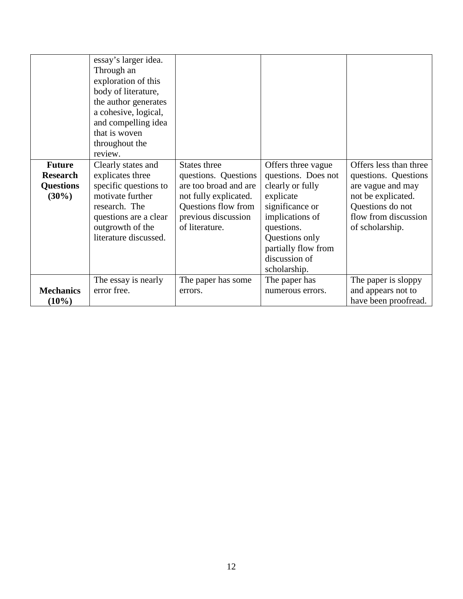| <b>Future</b><br><b>Research</b><br><b>Questions</b><br>$(30\%)$ | essay's larger idea.<br>Through an<br>exploration of this<br>body of literature,<br>the author generates<br>a cohesive, logical,<br>and compelling idea<br>that is woven<br>throughout the<br>review.<br>Clearly states and<br>explicates three<br>specific questions to<br>motivate further<br>research. The<br>questions are a clear<br>outgrowth of the<br>literature discussed. | States three<br>questions. Questions<br>are too broad and are<br>not fully explicated.<br>Questions flow from<br>previous discussion<br>of literature. | Offers three vague<br>questions. Does not<br>clearly or fully<br>explicate<br>significance or<br>implications of<br>questions.<br>Questions only<br>partially flow from<br>discussion of | Offers less than three<br>questions. Questions<br>are vague and may<br>not be explicated.<br>Questions do not<br>flow from discussion<br>of scholarship. |
|------------------------------------------------------------------|-------------------------------------------------------------------------------------------------------------------------------------------------------------------------------------------------------------------------------------------------------------------------------------------------------------------------------------------------------------------------------------|--------------------------------------------------------------------------------------------------------------------------------------------------------|------------------------------------------------------------------------------------------------------------------------------------------------------------------------------------------|----------------------------------------------------------------------------------------------------------------------------------------------------------|
| <b>Mechanics</b><br>$(10\%)$                                     | The essay is nearly<br>error free.                                                                                                                                                                                                                                                                                                                                                  | The paper has some<br>errors.                                                                                                                          | scholarship.<br>The paper has<br>numerous errors.                                                                                                                                        | The paper is sloppy<br>and appears not to<br>have been proofread.                                                                                        |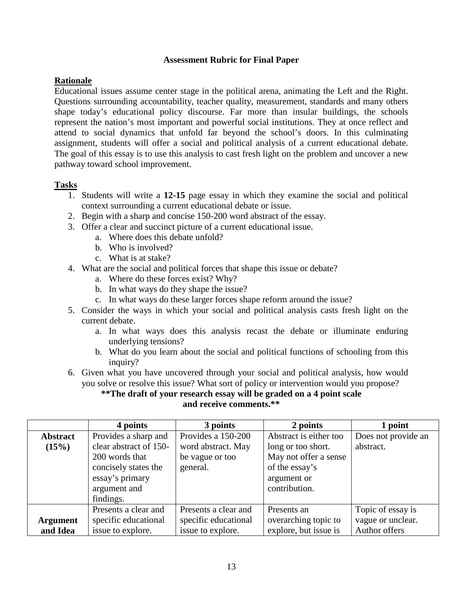### **Assessment Rubric for Final Paper**

## **Rationale**

Educational issues assume center stage in the political arena, animating the Left and the Right. Questions surrounding accountability, teacher quality, measurement, standards and many others shape today's educational policy discourse. Far more than insular buildings, the schools represent the nation's most important and powerful social institutions. They at once reflect and attend to social dynamics that unfold far beyond the school's doors. In this culminating assignment, students will offer a social and political analysis of a current educational debate. The goal of this essay is to use this analysis to cast fresh light on the problem and uncover a new pathway toward school improvement.

## **Tasks**

- 1. Students will write a **12-15** page essay in which they examine the social and political context surrounding a current educational debate or issue.
- 2. Begin with a sharp and concise 150-200 word abstract of the essay.
- 3. Offer a clear and succinct picture of a current educational issue.
	- a. Where does this debate unfold?
	- b. Who is involved?
	- c. What is at stake?
- 4. What are the social and political forces that shape this issue or debate?
	- a. Where do these forces exist? Why?
	- b. In what ways do they shape the issue?
	- c. In what ways do these larger forces shape reform around the issue?
- 5. Consider the ways in which your social and political analysis casts fresh light on the current debate.
	- a. In what ways does this analysis recast the debate or illuminate enduring underlying tensions?
	- b. What do you learn about the social and political functions of schooling from this inquiry?
- 6. Given what you have uncovered through your social and political analysis, how would you solve or resolve this issue? What sort of policy or intervention would you propose?

### **\*\*The draft of your research essay will be graded on a 4 point scale and receive comments.\*\***

|                 | 4 points               | 3 points             | 2 points               | l point             |
|-----------------|------------------------|----------------------|------------------------|---------------------|
| <b>Abstract</b> | Provides a sharp and   | Provides a 150-200   | Abstract is either too | Does not provide an |
| (15%)           | clear abstract of 150- | word abstract. May   | long or too short.     | abstract.           |
|                 | 200 words that         | be vague or too      | May not offer a sense  |                     |
|                 | concisely states the   | general.             | of the essay's         |                     |
|                 | essay's primary        |                      | argument or            |                     |
|                 | argument and           |                      | contribution.          |                     |
|                 | findings.              |                      |                        |                     |
|                 | Presents a clear and   | Presents a clear and | Presents an            | Topic of essay is   |
| <b>Argument</b> | specific educational   | specific educational | overarching topic to   | vague or unclear.   |
| and Idea        | issue to explore.      | issue to explore.    | explore, but issue is  | Author offers       |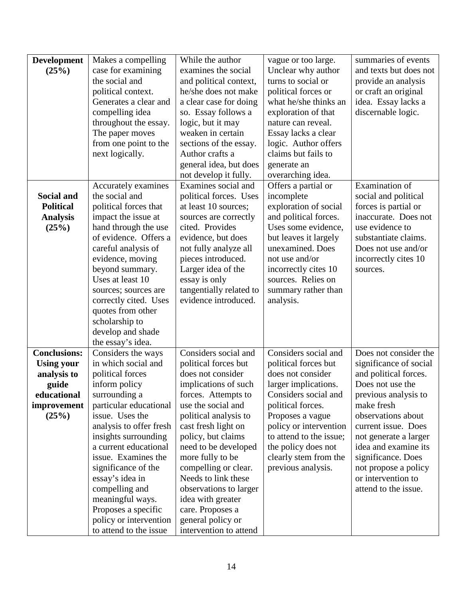| <b>Development</b>  | Makes a compelling                         | While the author                                | vague or too large.     | summaries of events    |
|---------------------|--------------------------------------------|-------------------------------------------------|-------------------------|------------------------|
| (25%)               | case for examining                         | examines the social                             | Unclear why author      | and texts but does not |
|                     | the social and                             | and political context,                          | turns to social or      | provide an analysis    |
|                     | political context.                         | he/she does not make                            | political forces or     | or craft an original   |
|                     | Generates a clear and                      | a clear case for doing                          | what he/she thinks an   | idea. Essay lacks a    |
|                     | compelling idea                            | so. Essay follows a                             | exploration of that     | discernable logic.     |
|                     | throughout the essay.                      | logic, but it may                               | nature can reveal.      |                        |
|                     | The paper moves                            | weaken in certain                               | Essay lacks a clear     |                        |
|                     | from one point to the                      | sections of the essay.                          | logic. Author offers    |                        |
|                     | next logically.                            | Author crafts a                                 | claims but fails to     |                        |
|                     |                                            | general idea, but does                          | generate an             |                        |
|                     |                                            | not develop it fully.                           | overarching idea.       |                        |
|                     | Accurately examines                        | Examines social and                             | Offers a partial or     | Examination of         |
| <b>Social and</b>   | the social and                             | political forces. Uses                          | incomplete              | social and political   |
| <b>Political</b>    | political forces that                      | at least 10 sources;                            | exploration of social   | forces is partial or   |
| <b>Analysis</b>     | impact the issue at                        | sources are correctly                           | and political forces.   | inaccurate. Does not   |
| (25%)               | hand through the use                       | cited. Provides                                 | Uses some evidence,     | use evidence to        |
|                     | of evidence. Offers a                      | evidence, but does                              | but leaves it largely   | substantiate claims.   |
|                     | careful analysis of                        | not fully analyze all                           | unexamined. Does        | Does not use and/or    |
|                     | evidence, moving                           | pieces introduced.                              | not use and/or          | incorrectly cites 10   |
|                     | beyond summary.<br>Uses at least 10        | Larger idea of the                              | incorrectly cites 10    | sources.               |
|                     |                                            | essay is only                                   | sources. Relies on      |                        |
|                     | sources; sources are                       | tangentially related to<br>evidence introduced. | summary rather than     |                        |
|                     | correctly cited. Uses<br>quotes from other |                                                 | analysis.               |                        |
|                     | scholarship to                             |                                                 |                         |                        |
|                     | develop and shade                          |                                                 |                         |                        |
|                     | the essay's idea.                          |                                                 |                         |                        |
| <b>Conclusions:</b> | Considers the ways                         | Considers social and                            | Considers social and    | Does not consider the  |
| <b>Using your</b>   | in which social and                        | political forces but                            | political forces but    | significance of social |
| analysis to         | political forces                           | does not consider                               | does not consider       | and political forces.  |
| guide               | inform policy                              | implications of such                            | larger implications.    | Does not use the       |
| educational         | surrounding a                              | forces. Attempts to                             | Considers social and    | previous analysis to   |
| improvement         | particular educational                     | use the social and                              | political forces.       | make fresh             |
| (25%)               | issue. Uses the                            | political analysis to                           | Proposes a vague        | observations about     |
|                     | analysis to offer fresh                    | cast fresh light on                             | policy or intervention  | current issue. Does    |
|                     | insights surrounding                       | policy, but claims                              | to attend to the issue; | not generate a larger  |
|                     | a current educational                      | need to be developed                            | the policy does not     | idea and examine its   |
|                     | issue. Examines the                        | more fully to be                                | clearly stem from the   | significance. Does     |
|                     | significance of the                        | compelling or clear.                            | previous analysis.      | not propose a policy   |
|                     | essay's idea in                            | Needs to link these                             |                         | or intervention to     |
|                     | compelling and                             | observations to larger                          |                         | attend to the issue.   |
|                     | meaningful ways.                           | idea with greater                               |                         |                        |
|                     | Proposes a specific                        | care. Proposes a                                |                         |                        |
|                     | policy or intervention                     | general policy or                               |                         |                        |
|                     | to attend to the issue                     | intervention to attend                          |                         |                        |